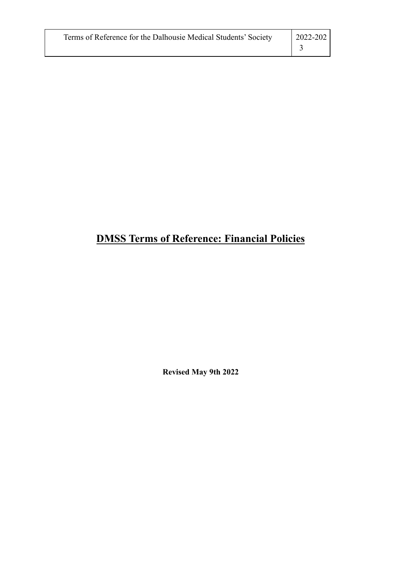| Terms of Reference for the Dalhousie Medical Students' Society | 2022-202 |
|----------------------------------------------------------------|----------|
|                                                                |          |

# **DMSS Terms of Reference: Financial Policies**

**Revised May 9th 2022**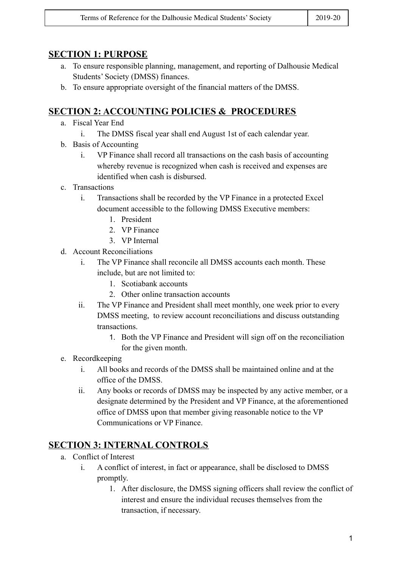#### **SECTION 1: PURPOSE**

- a. To ensure responsible planning, management, and reporting of Dalhousie Medical Students' Society (DMSS) finances.
- b. To ensure appropriate oversight of the financial matters of the DMSS.

## **SECTION 2: ACCOUNTING POLICIES & PROCEDURES**

- a. Fiscal Year End
	- i. The DMSS fiscal year shall end August 1st of each calendar year.
- b. Basis of Accounting
	- i. VP Finance shall record all transactions on the cash basis of accounting whereby revenue is recognized when cash is received and expenses are identified when cash is disbursed.
- c. Transactions
	- i. Transactions shall be recorded by the VP Finance in a protected Excel document accessible to the following DMSS Executive members:
		- 1. President
		- 2. VP Finance
		- 3. VP Internal
- d. Account Reconciliations
	- i. The VP Finance shall reconcile all DMSS accounts each month. These include, but are not limited to:
		- 1. Scotiabank accounts
		- 2. Other online transaction accounts
	- ii. The VP Finance and President shall meet monthly, one week prior to every DMSS meeting, to review account reconciliations and discuss outstanding transactions.
		- 1. Both the VP Finance and President will sign off on the reconciliation for the given month.
- e. Recordkeeping
	- i. All books and records of the DMSS shall be maintained online and at the office of the DMSS.
	- ii. Any books or records of DMSS may be inspected by any active member, or a designate determined by the President and VP Finance, at the aforementioned office of DMSS upon that member giving reasonable notice to the VP Communications or VP Finance.

# **SECTION 3: INTERNAL CONTROLS**

- a. Conflict of Interest
	- i. A conflict of interest, in fact or appearance, shall be disclosed to DMSS promptly.
		- 1. After disclosure, the DMSS signing officers shall review the conflict of interest and ensure the individual recuses themselves from the transaction, if necessary.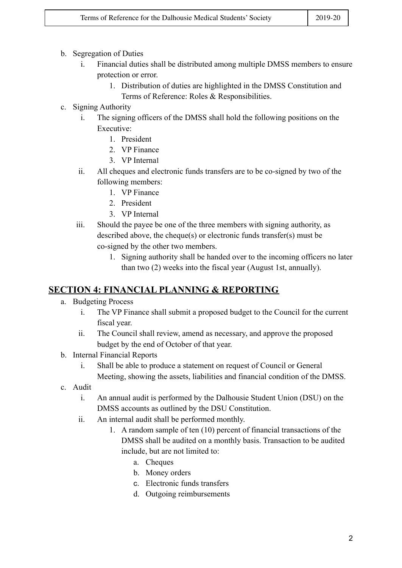- b. Segregation of Duties
	- i. Financial duties shall be distributed among multiple DMSS members to ensure protection or error.
		- 1. Distribution of duties are highlighted in the DMSS Constitution and Terms of Reference: Roles & Responsibilities.
- c. Signing Authority
	- i. The signing officers of the DMSS shall hold the following positions on the Executive:
		- 1. President
		- 2. VP Finance
		- 3. VP Internal
	- ii. All cheques and electronic funds transfers are to be co-signed by two of the following members:
		- 1. VP Finance
		- 2. President
		- 3. VP Internal
	- iii. Should the payee be one of the three members with signing authority, as described above, the cheque(s) or electronic funds transfer(s) must be co-signed by the other two members.
		- 1. Signing authority shall be handed over to the incoming officers no later than two (2) weeks into the fiscal year (August 1st, annually).

## **SECTION 4: FINANCIAL PLANNING & REPORTING**

- a. Budgeting Process
	- i. The VP Finance shall submit a proposed budget to the Council for the current fiscal year.
	- ii. The Council shall review, amend as necessary, and approve the proposed budget by the end of October of that year.
- b. Internal Financial Reports
	- i. Shall be able to produce a statement on request of Council or General Meeting, showing the assets, liabilities and financial condition of the DMSS.
- c. Audit
	- i. An annual audit is performed by the Dalhousie Student Union (DSU) on the DMSS accounts as outlined by the DSU Constitution.
	- ii. An internal audit shall be performed monthly.
		- 1. A random sample of ten (10) percent of financial transactions of the DMSS shall be audited on a monthly basis. Transaction to be audited include, but are not limited to:
			- a. Cheques
			- b. Money orders
			- c. Electronic funds transfers
			- d. Outgoing reimbursements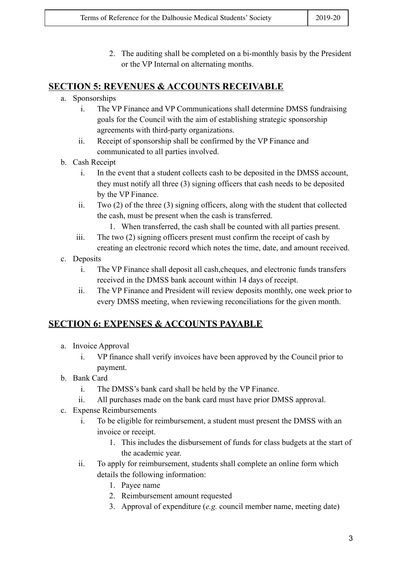2. The auditing shall be completed on a bi-monthly basis by the President or the VP Internal on alternating months.

#### **SECTION 5: REVENUES & ACCOUNTS RECEIVABLE**

- a. Sponsorships
	- i. The VP Finance and VP Communications shall determine DMSS fundraising goals for the Council with the aim of establishing strategic sponsorship agreements with third-party organizations.
	- ii. Receipt of sponsorship shall be confirmed by the VP Finance and communicated to all parties involved.
- b. Cash Receipt
	- i. In the event that a student collects cash to be deposited in the DMSS account, they must notify all three (3) signing officers that cash needs to be deposited by the VP Finance.
	- ii. Two (2) of the three (3) signing officers, along with the student that collected the cash, must be present when the cash is transferred.
		- 1. When transferred, the cash shall be counted with all parties present.
	- iii. The two (2) signing officers present must confirm the receipt of cash by creating an electronic record which notes the time, date, and amount received.
- c. Deposits
	- i. The VP Finance shall deposit all cash,cheques, and electronic funds transfers received in the DMSS bank account within 14 days of receipt.
	- ii. The VP Finance and President will review deposits monthly, one week prior to every DMSS meeting, when reviewing reconciliations for the given month.

# **SECTION 6: EXPENSES & ACCOUNTS PAYABLE**

- a. Invoice Approval
	- i. VP finance shall verify invoices have been approved by the Council prior to payment.
- b. Bank Card
	- i. The DMSS's bank card shall be held by the VP Finance.
	- ii. All purchases made on the bank card must have prior DMSS approval.
- c. Expense Reimbursements
	- i. To be eligible for reimbursement, a student must present the DMSS with an invoice or receipt.
		- 1. This includes the disbursement of funds for class budgets at the start of the academic year.
	- ii. To apply for reimbursement, students shall complete an online form which details the following information:
		- 1. Payee name
		- 2. Reimbursement amount requested
		- 3. Approval of expenditure (*e.g.* council member name, meeting date)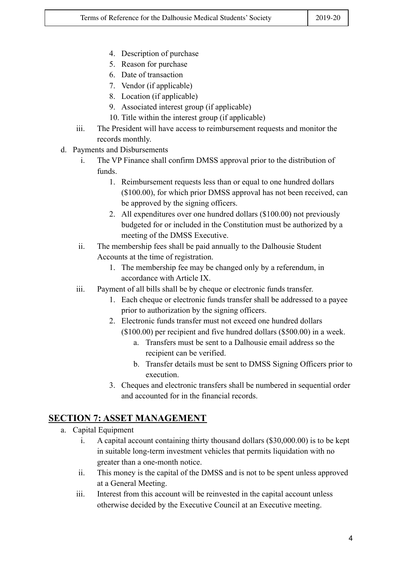- 4. Description of purchase
- 5. Reason for purchase
- 6. Date of transaction
- 7. Vendor (if applicable)
- 8. Location (if applicable)
- 9. Associated interest group (if applicable)
- 10. Title within the interest group (if applicable)
- iii. The President will have access to reimbursement requests and monitor the records monthly.
- d. Payments and Disbursements
	- i. The VP Finance shall confirm DMSS approval prior to the distribution of funds.
		- 1. Reimbursement requests less than or equal to one hundred dollars (\$100.00), for which prior DMSS approval has not been received, can be approved by the signing officers.
		- 2. All expenditures over one hundred dollars (\$100.00) not previously budgeted for or included in the Constitution must be authorized by a meeting of the DMSS Executive.
	- ii. The membership fees shall be paid annually to the Dalhousie Student Accounts at the time of registration.
		- 1. The membership fee may be changed only by a referendum, in accordance with Article IX.
	- iii. Payment of all bills shall be by cheque or electronic funds transfer.
		- 1. Each cheque or electronic funds transfer shall be addressed to a payee prior to authorization by the signing officers.
		- 2. Electronic funds transfer must not exceed one hundred dollars (\$100.00) per recipient and five hundred dollars (\$500.00) in a week.
			- a. Transfers must be sent to a Dalhousie email address so the recipient can be verified.
			- b. Transfer details must be sent to DMSS Signing Officers prior to execution.
		- 3. Cheques and electronic transfers shall be numbered in sequential order and accounted for in the financial records.

## **SECTION 7: ASSET MANAGEMENT**

- a. Capital Equipment
	- i. A capital account containing thirty thousand dollars (\$30,000.00) is to be kept in suitable long-term investment vehicles that permits liquidation with no greater than a one-month notice.
	- ii. This money is the capital of the DMSS and is not to be spent unless approved at a General Meeting.
	- iii. Interest from this account will be reinvested in the capital account unless otherwise decided by the Executive Council at an Executive meeting.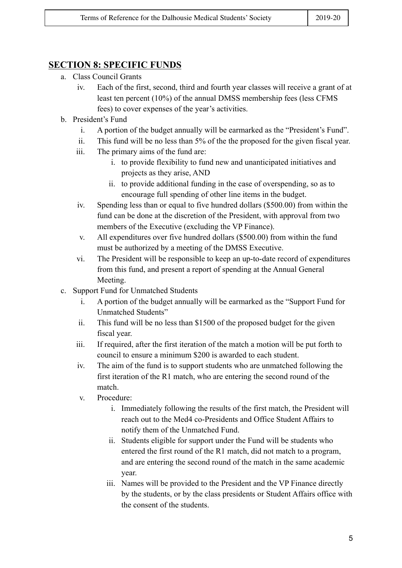#### **SECTION 8: SPECIFIC FUNDS**

- a. Class Council Grants
	- iv. Each of the first, second, third and fourth year classes will receive a grant of at least ten percent (10%) of the annual DMSS membership fees (less CFMS fees) to cover expenses of the year's activities.
- b. President's Fund
	- i. A portion of the budget annually will be earmarked as the "President's Fund".
	- ii. This fund will be no less than 5% of the the proposed for the given fiscal year.
	- iii. The primary aims of the fund are:
		- i. to provide flexibility to fund new and unanticipated initiatives and projects as they arise, AND
		- ii. to provide additional funding in the case of overspending, so as to encourage full spending of other line items in the budget.
	- iv. Spending less than or equal to five hundred dollars (\$500.00) from within the fund can be done at the discretion of the President, with approval from two members of the Executive (excluding the VP Finance).
	- v. All expenditures over five hundred dollars (\$500.00) from within the fund must be authorized by a meeting of the DMSS Executive.
	- vi. The President will be responsible to keep an up-to-date record of expenditures from this fund, and present a report of spending at the Annual General Meeting.
- c. Support Fund for Unmatched Students
	- i. A portion of the budget annually will be earmarked as the "Support Fund for Unmatched Students"
	- ii. This fund will be no less than \$1500 of the proposed budget for the given fiscal year.
	- iii. If required, after the first iteration of the match a motion will be put forth to council to ensure a minimum \$200 is awarded to each student.
	- iv. The aim of the fund is to support students who are unmatched following the first iteration of the R1 match, who are entering the second round of the match.
	- v. Procedure:
		- i. Immediately following the results of the first match, the President will reach out to the Med4 co-Presidents and Office Student Affairs to notify them of the Unmatched Fund.
		- ii. Students eligible for support under the Fund will be students who entered the first round of the R1 match, did not match to a program, and are entering the second round of the match in the same academic year.
		- iii. Names will be provided to the President and the VP Finance directly by the students, or by the class presidents or Student Affairs office with the consent of the students.